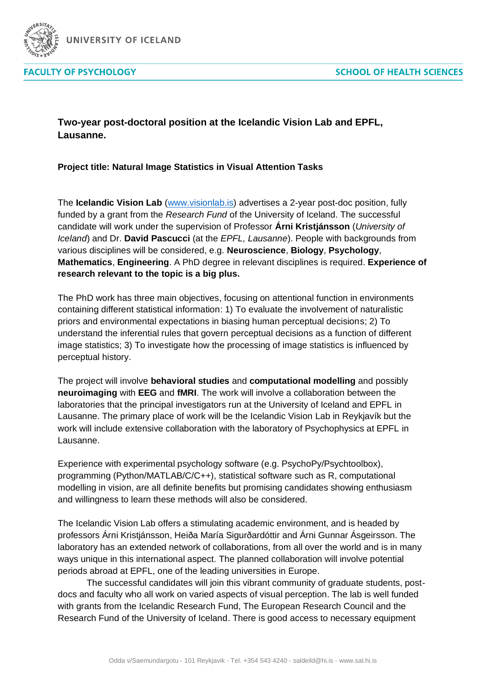

UNIVERSITY OF ICELAND

**FACULTY OF PSYCHOLOGY** 

**Two-year post-doctoral position at the Icelandic Vision Lab and EPFL, Lausanne.**

## **Project title: Natural Image Statistics in Visual Attention Tasks**

The **Icelandic Vision Lab** [\(www.visionlab.is\)](http://www.visionlab.is/) advertises a 2-year post-doc position, fully funded by a grant from the *Research Fund* of the University of Iceland. The successful candidate will work under the supervision of Professor **Árni Kristjánsson** (*University of Iceland*) and Dr. **David Pascucci** (at the *EPFL, Lausanne*). People with backgrounds from various disciplines will be considered, e.g. **Neuroscience**, **Biology**, **Psychology**, **Mathematics**, **Engineering**. A PhD degree in relevant disciplines is required. **Experience of research relevant to the topic is a big plus.**

The PhD work has three main objectives, focusing on attentional function in environments containing different statistical information: 1) To evaluate the involvement of naturalistic priors and environmental expectations in biasing human perceptual decisions; 2) To understand the inferential rules that govern perceptual decisions as a function of different image statistics; 3) To investigate how the processing of image statistics is influenced by perceptual history.

The project will involve **behavioral studies** and **computational modelling** and possibly **neuroimaging** with **EEG** and **fMRI**. The work will involve a collaboration between the laboratories that the principal investigators run at the University of Iceland and EPFL in Lausanne. The primary place of work will be the Icelandic Vision Lab in Reykjavík but the work will include extensive collaboration with the laboratory of Psychophysics at EPFL in Lausanne.

Experience with experimental psychology software (e.g. PsychoPy/Psychtoolbox), programming (Python/MATLAB/C/C++), statistical software such as R, computational modelling in vision, are all definite benefits but promising candidates showing enthusiasm and willingness to learn these methods will also be considered.

The Icelandic Vision Lab offers a stimulating academic environment, and is headed by professors Árni Kristjánsson, Heiða María Sigurðardóttir and Árni Gunnar Ásgeirsson. The laboratory has an extended network of collaborations, from all over the world and is in many ways unique in this international aspect. The planned collaboration will involve potential periods abroad at EPFL, one of the leading universities in Europe.

The successful candidates will join this vibrant community of graduate students, postdocs and faculty who all work on varied aspects of visual perception. The lab is well funded with grants from the Icelandic Research Fund, The European Research Council and the Research Fund of the University of Iceland. There is good access to necessary equipment